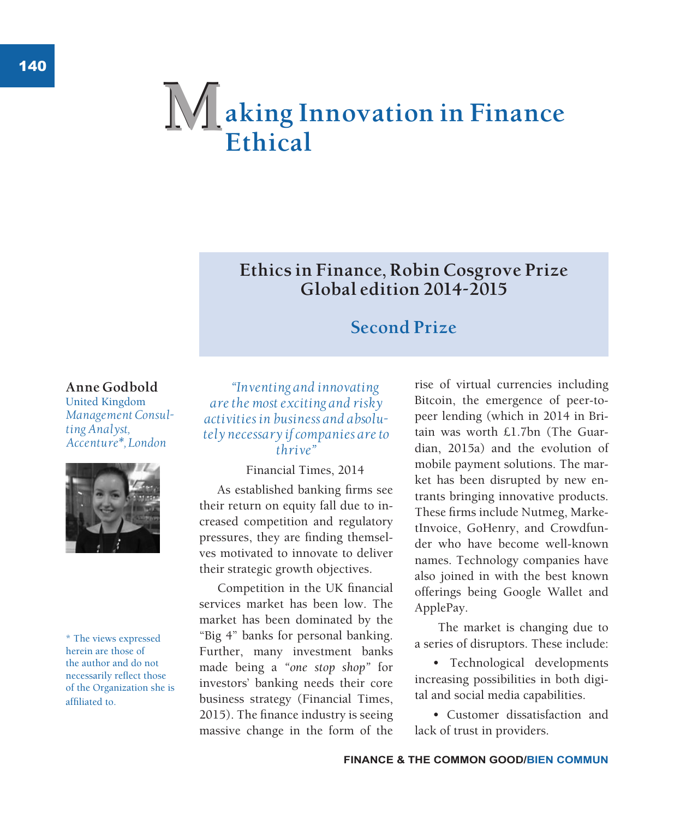# **aking Innovation in Finance Ethical M**

# **Ethics in Finance, Robin Cosgrove Prize Global edition 2014-2015**

# **Second Prize**

### **Anne Godbold**

United Kingdom *Management Consulting Analyst, Accenture\*, London*



\* The views expressed herein are those of the author and do not necessarily reflect those of the Organization she is affiliated to.

*"Inventing and innovating are the most exciting and risky activities in business and absolutely necessary if companies are to thrive"*

Financial Times, 2014

As established banking firms see their return on equity fall due to increased competition and regulatory pressures, they are finding themselves motivated to innovate to deliver their strategic growth objectives.

Competition in the UK financial services market has been low. The market has been dominated by the "Big 4" banks for personal banking. Further, many investment banks made being a *"one stop shop"* for investors' banking needs their core business strategy (Financial Times, 2015). The finance industry is seeing massive change in the form of the

rise of virtual currencies including Bitcoin, the emergence of peer-topeer lending (which in 2014 in Britain was worth £1.7bn (The Guardian, 2015a) and the evolution of mobile payment solutions. The market has been disrupted by new entrants bringing innovative products. These firms include Nutmeg, MarketInvoice, GoHenry, and Crowdfunder who have become well-known names. Technology companies have also joined in with the best known offerings being Google Wallet and ApplePay.

 The market is changing due to a series of disruptors. These include:

• Technological developments increasing possibilities in both digital and social media capabilities.

• Customer dissatisfaction and lack of trust in providers.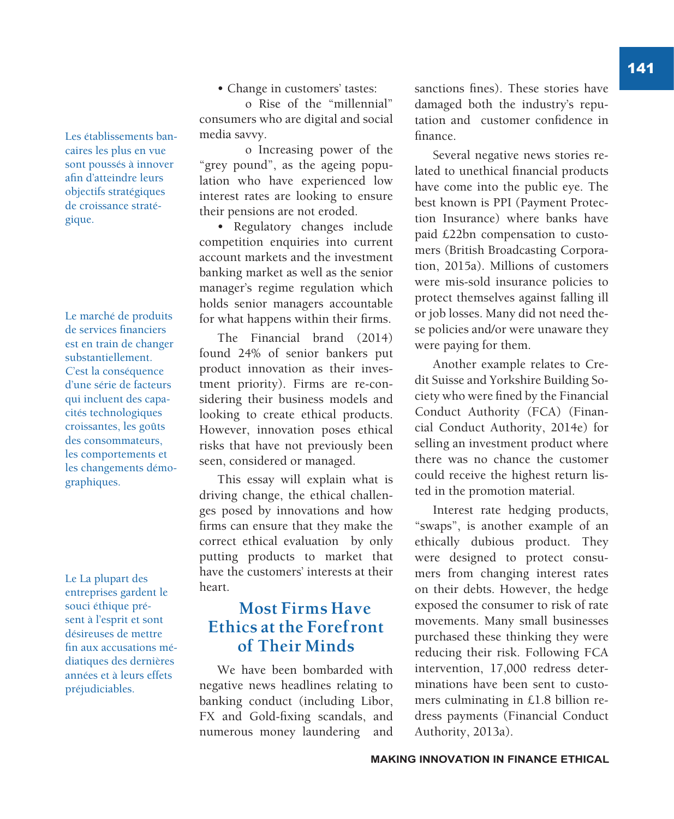Les établissements bancaires les plus en vue sont poussés à innover afin d'atteindre leurs objectifs stratégiques de croissance stratégique.

Le marché de produits de services financiers est en train de changer substantiellement. C'est la conséquence d'une série de facteurs qui incluent des capacités technologiques croissantes, les goûts des consommateurs, les comportements et les changements démographiques.

Le La plupart des entreprises gardent le souci éthique présent à l'esprit et sont désireuses de mettre fin aux accusations médiatiques des dernières années et à leurs effets préjudiciables.

• Change in customers' tastes:

o Rise of the "millennial" consumers who are digital and social media savvy.

o Increasing power of the "grey pound", as the ageing population who have experienced low interest rates are looking to ensure their pensions are not eroded.

• Regulatory changes include competition enquiries into current account markets and the investment banking market as well as the senior manager's regime regulation which holds senior managers accountable for what happens within their firms.

The Financial brand (2014) found 24% of senior bankers put product innovation as their investment priority). Firms are re-considering their business models and looking to create ethical products. However, innovation poses ethical risks that have not previously been seen, considered or managed.

This essay will explain what is driving change, the ethical challenges posed by innovations and how firms can ensure that they make the correct ethical evaluation by only putting products to market that have the customers' interests at their heart.

# **Most Firms Have Ethics at the Forefront of Their Minds**

We have been bombarded with negative news headlines relating to banking conduct (including Libor, FX and Gold-fixing scandals, and numerous money laundering and sanctions fines). These stories have damaged both the industry's reputation and customer confidence in finance.

Several negative news stories related to unethical financial products have come into the public eye. The best known is PPI (Payment Protection Insurance) where banks have paid £22bn compensation to customers (British Broadcasting Corporation, 2015a). Millions of customers were mis-sold insurance policies to protect themselves against falling ill or job losses. Many did not need these policies and/or were unaware they were paying for them.

Another example relates to Credit Suisse and Yorkshire Building Society who were fined by the Financial Conduct Authority (FCA) (Financial Conduct Authority, 2014e) for selling an investment product where there was no chance the customer could receive the highest return listed in the promotion material.

Interest rate hedging products, "swaps", is another example of an ethically dubious product. They were designed to protect consumers from changing interest rates on their debts. However, the hedge exposed the consumer to risk of rate movements. Many small businesses purchased these thinking they were reducing their risk. Following FCA intervention, 17,000 redress determinations have been sent to customers culminating in £1.8 billion redress payments (Financial Conduct Authority, 2013a).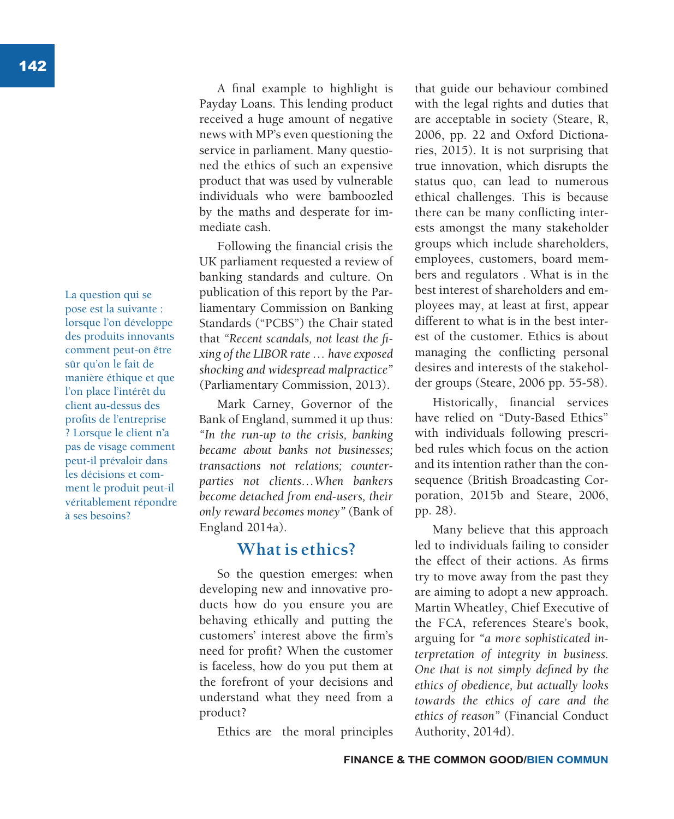La question qui se pose est la suivante : lorsque l'on développe des produits innovants comment peut-on être sûr qu'on le fait de manière éthique et que l'on place l'intérêt du client au-dessus des profits de l'entreprise ? Lorsque le client n'a pas de visage comment peut-il prévaloir dans les décisions et comment le produit peut-il véritablement répondre à ses besoins?

A final example to highlight is Payday Loans. This lending product received a huge amount of negative news with MP's even questioning the service in parliament. Many questioned the ethics of such an expensive product that was used by vulnerable individuals who were bamboozled by the maths and desperate for immediate cash.

Following the financial crisis the UK parliament requested a review of banking standards and culture. On publication of this report by the Parliamentary Commission on Banking Standards ("PCBS") the Chair stated that *"Recent scandals, not least the fixing of the LIBOR rate … have exposed shocking and widespread malpractice"* (Parliamentary Commission, 2013).

Mark Carney, Governor of the Bank of England, summed it up thus: *"In the run-up to the crisis, banking became about banks not businesses; transactions not relations; counterparties not clients…When bankers become detached from end-users, their only reward becomes money"* (Bank of England 2014a).

### **What is ethics?**

So the question emerges: when developing new and innovative products how do you ensure you are behaving ethically and putting the customers' interest above the firm's need for profit? When the customer is faceless, how do you put them at the forefront of your decisions and understand what they need from a product?

Ethics are the moral principles

that guide our behaviour combined with the legal rights and duties that are acceptable in society (Steare, R, 2006, pp. 22 and Oxford Dictionaries, 2015). It is not surprising that true innovation, which disrupts the status quo, can lead to numerous ethical challenges. This is because there can be many conflicting interests amongst the many stakeholder groups which include shareholders, employees, customers, board members and regulators . What is in the best interest of shareholders and employees may, at least at first, appear different to what is in the best interest of the customer. Ethics is about managing the conflicting personal desires and interests of the stakeholder groups (Steare, 2006 pp. 55-58).

Historically, financial services have relied on "Duty-Based Ethics" with individuals following prescribed rules which focus on the action and its intention rather than the consequence (British Broadcasting Corporation, 2015b and Steare, 2006, pp. 28).

Many believe that this approach led to individuals failing to consider the effect of their actions. As firms try to move away from the past they are aiming to adopt a new approach. Martin Wheatley, Chief Executive of the FCA, references Steare's book, arguing for *"a more sophisticated interpretation of integrity in business. One that is not simply defined by the ethics of obedience, but actually looks towards the ethics of care and the ethics of reason"* (Financial Conduct Authority, 2014d).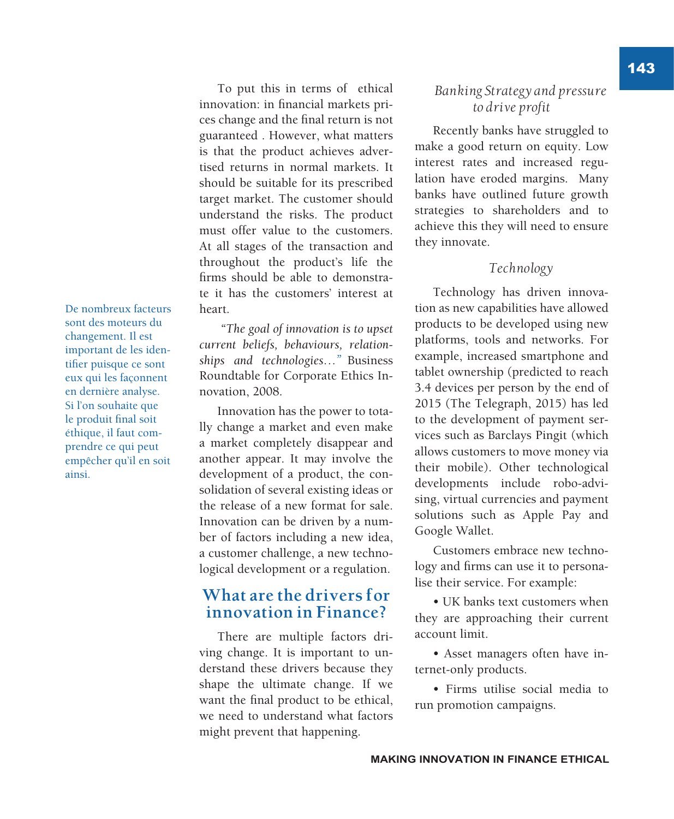De nombreux facteurs sont des moteurs du changement. Il est important de les identifier puisque ce sont eux qui les façonnent en dernière analyse. Si l'on souhaite que le produit final soit éthique, il faut comprendre ce qui peut empêcher qu'il en soit ainsi.

### To put this in terms of ethical innovation: in financial markets prices change and the final return is not guaranteed . However, what matters is that the product achieves advertised returns in normal markets. It should be suitable for its prescribed target market. The customer should understand the risks. The product must offer value to the customers. At all stages of the transaction and throughout the product's life the firms should be able to demonstrate it has the customers' interest at heart.

 *"The goal of innovation is to upset current beliefs, behaviours, relationships and technologies…"* Business Roundtable for Corporate Ethics Innovation, 2008.

Innovation has the power to totally change a market and even make a market completely disappear and another appear. It may involve the development of a product, the consolidation of several existing ideas or the release of a new format for sale. Innovation can be driven by a number of factors including a new idea, a customer challenge, a new technological development or a regulation.

# **What are the drivers for innovation in Finance?**

There are multiple factors driving change. It is important to understand these drivers because they shape the ultimate change. If we want the final product to be ethical, we need to understand what factors might prevent that happening.

### *Banking Strategy and pressure to drive profit*

Recently banks have struggled to make a good return on equity. Low interest rates and increased regulation have eroded margins. Many banks have outlined future growth strategies to shareholders and to achieve this they will need to ensure they innovate.

#### *Technology*

Technology has driven innovation as new capabilities have allowed products to be developed using new platforms, tools and networks. For example, increased smartphone and tablet ownership (predicted to reach 3.4 devices per person by the end of 2015 (The Telegraph, 2015) has led to the development of payment services such as Barclays Pingit (which allows customers to move money via their mobile). Other technological developments include robo-advising, virtual currencies and payment solutions such as Apple Pay and Google Wallet.

Customers embrace new technology and firms can use it to personalise their service. For example:

• UK banks text customers when they are approaching their current account limit.

• Asset managers often have internet-only products.

• Firms utilise social media to run promotion campaigns.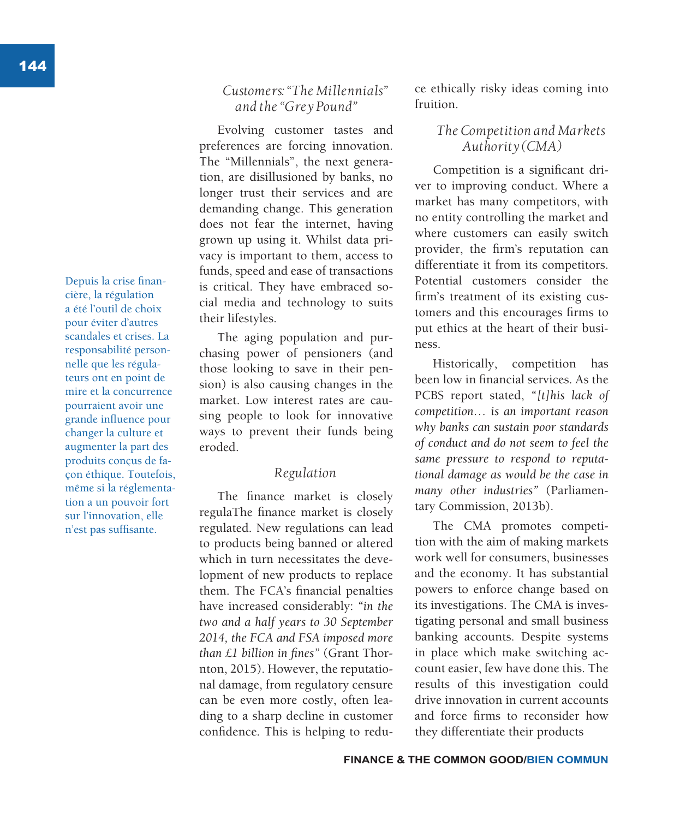Depuis la crise financière, la régulation a été l'outil de choix pour éviter d'autres scandales et crises. La responsabilité personnelle que les régulateurs ont en point de mire et la concurrence pourraient avoir une grande influence pour changer la culture et augmenter la part des produits conçus de façon éthique. Toutefois, même si la réglementation a un pouvoir fort sur l'innovation, elle n'est pas suffisante.

### *Customers: "The Millennials" and the "Grey Pound"*

Evolving customer tastes and preferences are forcing innovation. The "Millennials", the next generation, are disillusioned by banks, no longer trust their services and are demanding change. This generation does not fear the internet, having grown up using it. Whilst data privacy is important to them, access to funds, speed and ease of transactions is critical. They have embraced social media and technology to suits their lifestyles.

The aging population and purchasing power of pensioners (and those looking to save in their pension) is also causing changes in the market. Low interest rates are causing people to look for innovative ways to prevent their funds being eroded.

### *Regulation*

The finance market is closely regulaThe finance market is closely regulated. New regulations can lead to products being banned or altered which in turn necessitates the development of new products to replace them. The FCA's financial penalties have increased considerably: *"in the two and a half years to 30 September 2014, the FCA and FSA imposed more than £1 billion in fines"* (Grant Thornton, 2015). However, the reputational damage, from regulatory censure can be even more costly, often leading to a sharp decline in customer confidence. This is helping to reduce ethically risky ideas coming into fruition.

### *The Competition and Markets Authority (CMA)*

Competition is a significant driver to improving conduct. Where a market has many competitors, with no entity controlling the market and where customers can easily switch provider, the firm's reputation can differentiate it from its competitors. Potential customers consider the firm's treatment of its existing customers and this encourages firms to put ethics at the heart of their business.

Historically, competition has been low in financial services. As the PCBS report stated, *"[t]his lack of competition… is an important reason why banks can sustain poor standards of conduct and do not seem to feel the same pressure to respond to reputational damage as would be the case in many other industries"* (Parliamentary Commission, 2013b).

The CMA promotes competition with the aim of making markets work well for consumers, businesses and the economy. It has substantial powers to enforce change based on its investigations. The CMA is investigating personal and small business banking accounts. Despite systems in place which make switching account easier, few have done this. The results of this investigation could drive innovation in current accounts and force firms to reconsider how they differentiate their products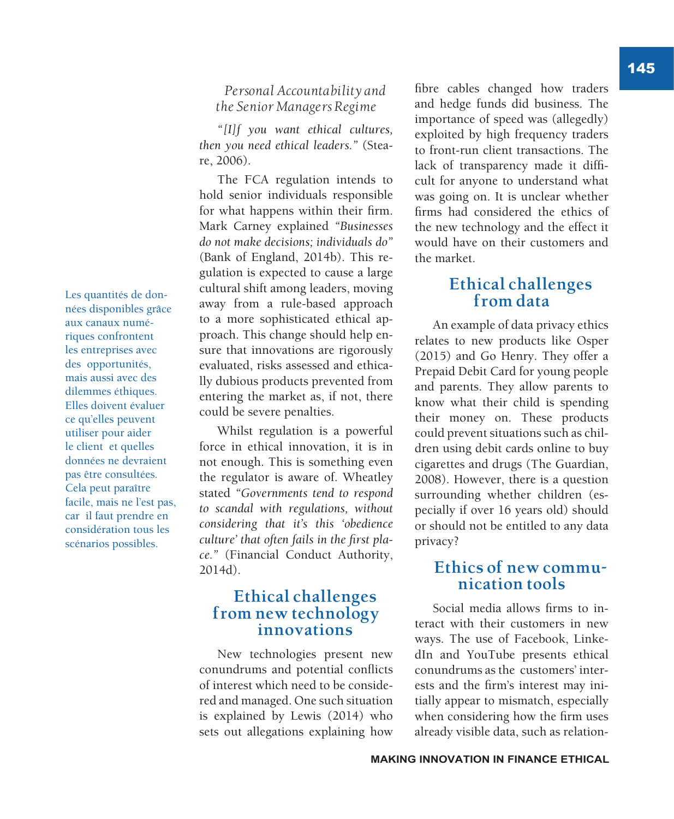145

*Personal Accountability and the Senior Managers Regime*

*"[I]f you want ethical cultures, then you need ethical leaders."* (Steare, 2006).

The FCA regulation intends to hold senior individuals responsible for what happens within their firm. Mark Carney explained *"Businesses do not make decisions; individuals do"* (Bank of England, 2014b). This regulation is expected to cause a large cultural shift among leaders, moving away from a rule-based approach to a more sophisticated ethical approach. This change should help ensure that innovations are rigorously evaluated, risks assessed and ethically dubious products prevented from entering the market as, if not, there could be severe penalties.

Whilst regulation is a powerful force in ethical innovation, it is in not enough. This is something even the regulator is aware of. Wheatley stated *"Governments tend to respond to scandal with regulations, without considering that it's this 'obedience culture' that often fails in the first place."* (Financial Conduct Authority, 2014d).

### **Ethical challenges from new technology innovations**

New technologies present new conundrums and potential conflicts of interest which need to be considered and managed. One such situation is explained by Lewis (2014) who sets out allegations explaining how

fibre cables changed how traders and hedge funds did business. The importance of speed was (allegedly) exploited by high frequency traders to front-run client transactions. The lack of transparency made it difficult for anyone to understand what was going on. It is unclear whether firms had considered the ethics of the new technology and the effect it would have on their customers and the market.

# **Ethical challenges from data**

An example of data privacy ethics relates to new products like Osper (2015) and Go Henry. They offer a Prepaid Debit Card for young people and parents. They allow parents to know what their child is spending their money on. These products could prevent situations such as children using debit cards online to buy cigarettes and drugs (The Guardian, 2008). However, there is a question surrounding whether children (especially if over 16 years old) should or should not be entitled to any data privacy?

### **Ethics of new communication tools**

Social media allows firms to interact with their customers in new ways. The use of Facebook, LinkedIn and YouTube presents ethical conundrums as the customers' interests and the firm's interest may initially appear to mismatch, especially when considering how the firm uses already visible data, such as relation-

Les quantités de données disponibles grâce aux canaux numériques confrontent les entreprises avec des opportunités, mais aussi avec des dilemmes éthiques. Elles doivent évaluer ce qu'elles peuvent utiliser pour aider le client et quelles données ne devraient pas être consultées. Cela peut paraître facile, mais ne l'est pas, car il faut prendre en considération tous les scénarios possibles.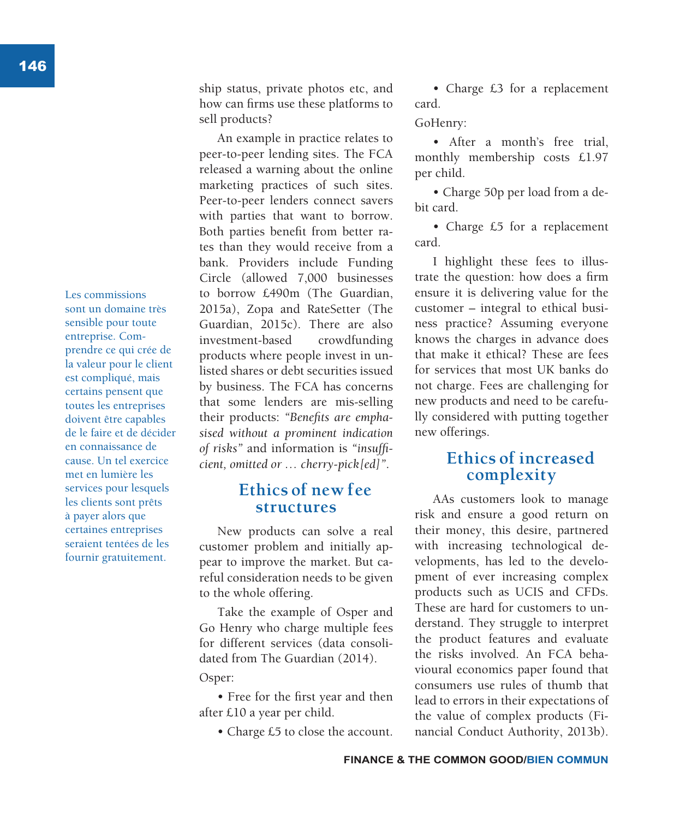Les commissions sont un domaine très sensible pour toute entreprise. Comprendre ce qui crée de la valeur pour le client est compliqué, mais certains pensent que toutes les entreprises doivent être capables de le faire et de décider en connaissance de cause. Un tel exercice met en lumière les services pour lesquels les clients sont prêts à payer alors que certaines entreprises seraient tentées de les fournir gratuitement.

ship status, private photos etc, and how can firms use these platforms to sell products?

An example in practice relates to peer-to-peer lending sites. The FCA released a warning about the online marketing practices of such sites. Peer-to-peer lenders connect savers with parties that want to borrow. Both parties benefit from better rates than they would receive from a bank. Providers include Funding Circle (allowed 7,000 businesses to borrow £490m (The Guardian, 2015a), Zopa and RateSetter (The Guardian, 2015c). There are also investment-based crowdfunding products where people invest in unlisted shares or debt securities issued by business. The FCA has concerns that some lenders are mis-selling their products: *"Benefits are emphasised without a prominent indication of risks"* and information is *"insufficient, omitted or … cherry-pick[ed]"*.

### **Ethics of new fee structures**

New products can solve a real customer problem and initially appear to improve the market. But careful consideration needs to be given to the whole offering.

Take the example of Osper and Go Henry who charge multiple fees for different services (data consolidated from The Guardian (2014).

#### Osper:

• Free for the first year and then after £10 a year per child.

• Charge £5 to close the account.

• Charge £3 for a replacement card.

GoHenry:

• After a month's free trial, monthly membership costs £1.97 per child.

• Charge 50p per load from a debit card.

• Charge £5 for a replacement card.

I highlight these fees to illustrate the question: how does a firm ensure it is delivering value for the customer – integral to ethical business practice? Assuming everyone knows the charges in advance does that make it ethical? These are fees for services that most UK banks do not charge. Fees are challenging for new products and need to be carefully considered with putting together new offerings.

# **Ethics of increased complexity**

AAs customers look to manage risk and ensure a good return on their money, this desire, partnered with increasing technological developments, has led to the development of ever increasing complex products such as UCIS and CFDs. These are hard for customers to understand. They struggle to interpret the product features and evaluate the risks involved. An FCA behavioural economics paper found that consumers use rules of thumb that lead to errors in their expectations of the value of complex products (Financial Conduct Authority, 2013b).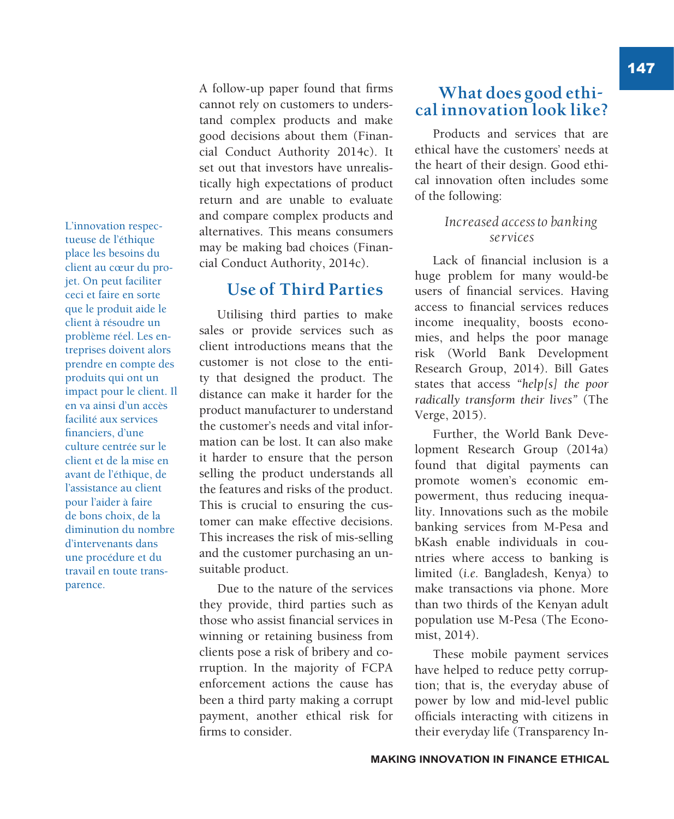L'innovation respectueuse de l'éthique place les besoins du client au cœur du projet. On peut faciliter ceci et faire en sorte que le produit aide le client à résoudre un problème réel. Les entreprises doivent alors prendre en compte des produits qui ont un impact pour le client. Il en va ainsi d'un accès facilité aux services financiers, d'une culture centrée sur le client et de la mise en avant de l'éthique, de l'assistance au client pour l'aider à faire de bons choix, de la diminution du nombre d'intervenants dans une procédure et du travail en toute transparence.

A follow-up paper found that firms cannot rely on customers to understand complex products and make good decisions about them (Financial Conduct Authority 2014c). It set out that investors have unrealistically high expectations of product return and are unable to evaluate and compare complex products and alternatives. This means consumers may be making bad choices (Financial Conduct Authority, 2014c).

# **Use of Third Parties**

Utilising third parties to make sales or provide services such as client introductions means that the customer is not close to the entity that designed the product. The distance can make it harder for the product manufacturer to understand the customer's needs and vital information can be lost. It can also make it harder to ensure that the person selling the product understands all the features and risks of the product. This is crucial to ensuring the customer can make effective decisions. This increases the risk of mis-selling and the customer purchasing an unsuitable product.

Due to the nature of the services they provide, third parties such as those who assist financial services in winning or retaining business from clients pose a risk of bribery and corruption. In the majority of FCPA enforcement actions the cause has been a third party making a corrupt payment, another ethical risk for firms to consider.

# **What does good ethical innovation look like?**

Products and services that are ethical have the customers' needs at the heart of their design. Good ethical innovation often includes some of the following:

### *Increased access to banking services*

Lack of financial inclusion is a huge problem for many would-be users of financial services. Having access to financial services reduces income inequality, boosts economies, and helps the poor manage risk (World Bank Development Research Group, 2014). Bill Gates states that access *"help[s] the poor radically transform their lives"* (The Verge, 2015).

Further, the World Bank Development Research Group (2014a) found that digital payments can promote women's economic empowerment, thus reducing inequality. Innovations such as the mobile banking services from M-Pesa and bKash enable individuals in countries where access to banking is limited (*i.e.* Bangladesh, Kenya) to make transactions via phone. More than two thirds of the Kenyan adult population use M-Pesa (The Economist, 2014).

These mobile payment services have helped to reduce petty corruption; that is, the everyday abuse of power by low and mid-level public officials interacting with citizens in their everyday life (Transparency In147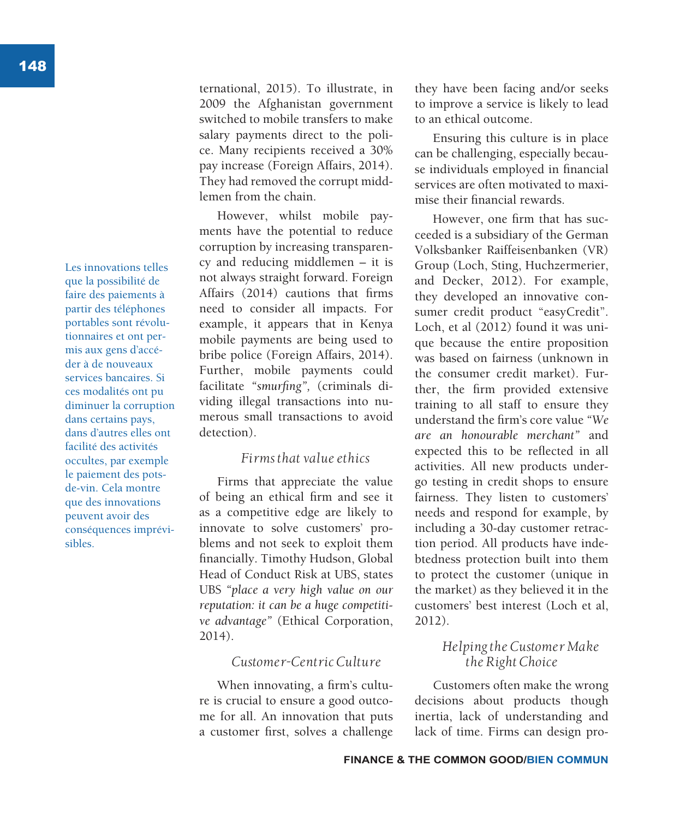Les innovations telles que la possibilité de faire des paiements à partir des téléphones portables sont révolutionnaires et ont permis aux gens d'accéder à de nouveaux services bancaires. Si ces modalités ont pu diminuer la corruption dans certains pays, dans d'autres elles ont facilité des activités occultes, par exemple le paiement des potsde-vin. Cela montre que des innovations peuvent avoir des conséquences imprévisibles.

ternational, 2015). To illustrate, in 2009 the Afghanistan government switched to mobile transfers to make salary payments direct to the police. Many recipients received a 30% pay increase (Foreign Affairs, 2014). They had removed the corrupt middlemen from the chain.

However, whilst mobile payments have the potential to reduce corruption by increasing transparency and reducing middlemen – it is not always straight forward. Foreign Affairs (2014) cautions that firms need to consider all impacts. For example, it appears that in Kenya mobile payments are being used to bribe police (Foreign Affairs, 2014). Further, mobile payments could facilitate *"smurfing",* (criminals dividing illegal transactions into numerous small transactions to avoid detection).

### *Firms that value ethics*

Firms that appreciate the value of being an ethical firm and see it as a competitive edge are likely to innovate to solve customers' problems and not seek to exploit them financially. Timothy Hudson, Global Head of Conduct Risk at UBS, states UBS *"place a very high value on our reputation: it can be a huge competitive advantage"* (Ethical Corporation, 2014).

#### *Customer-Centric Culture*

When innovating, a firm's culture is crucial to ensure a good outcome for all. An innovation that puts a customer first, solves a challenge they have been facing and/or seeks to improve a service is likely to lead to an ethical outcome.

Ensuring this culture is in place can be challenging, especially because individuals employed in financial services are often motivated to maximise their financial rewards.

However, one firm that has succeeded is a subsidiary of the German Volksbanker Raiffeisenbanken (VR) Group (Loch, Sting, Huchzermerier, and Decker, 2012). For example, they developed an innovative consumer credit product "easyCredit". Loch, et al (2012) found it was unique because the entire proposition was based on fairness (unknown in the consumer credit market). Further, the firm provided extensive training to all staff to ensure they understand the firm's core value *"We are an honourable merchant"* and expected this to be reflected in all activities. All new products undergo testing in credit shops to ensure fairness. They listen to customers' needs and respond for example, by including a 30-day customer retraction period. All products have indebtedness protection built into them to protect the customer (unique in the market) as they believed it in the customers' best interest (Loch et al, 2012).

### *Helping the Customer Make the Right Choice*

Customers often make the wrong decisions about products though inertia, lack of understanding and lack of time. Firms can design pro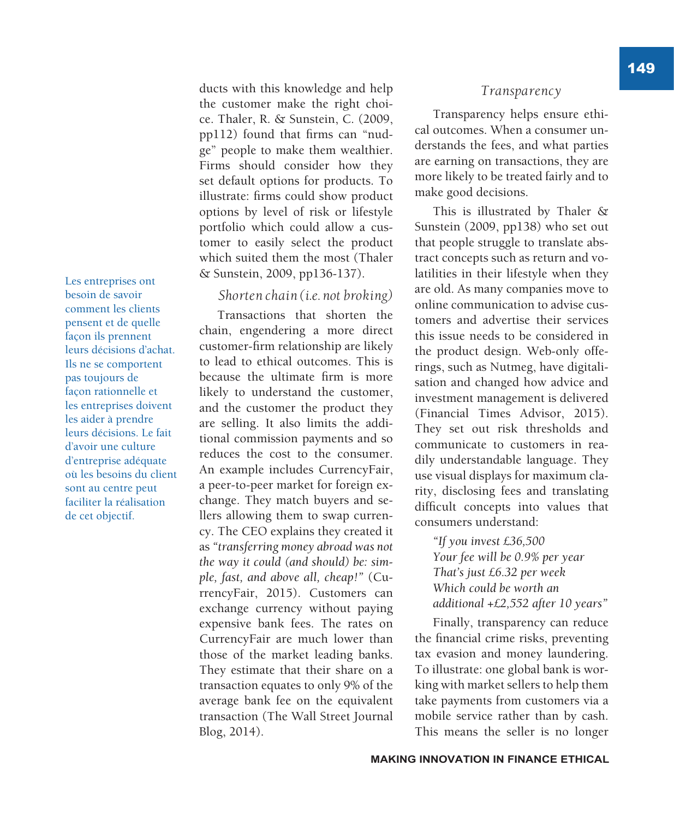Les entreprises ont besoin de savoir comment les clients pensent et de quelle façon ils prennent leurs décisions d'achat. Ils ne se comportent pas toujours de façon rationnelle et les entreprises doivent les aider à prendre leurs décisions. Le fait d'avoir une culture d'entreprise adéquate où les besoins du client sont au centre peut faciliter la réalisation de cet objectif.

ducts with this knowledge and help the customer make the right choice. Thaler, R. & Sunstein, C. (2009, pp112) found that firms can "nudge" people to make them wealthier. Firms should consider how they set default options for products. To illustrate: firms could show product options by level of risk or lifestyle portfolio which could allow a customer to easily select the product which suited them the most (Thaler & Sunstein, 2009, pp136-137).

#### *Shorten chain (i.e. not broking)*

Transactions that shorten the chain, engendering a more direct customer-firm relationship are likely to lead to ethical outcomes. This is because the ultimate firm is more likely to understand the customer, and the customer the product they are selling. It also limits the additional commission payments and so reduces the cost to the consumer. An example includes CurrencyFair, a peer-to-peer market for foreign exchange. They match buyers and sellers allowing them to swap currency. The CEO explains they created it as *"transferring money abroad was not the way it could (and should) be: simple, fast, and above all, cheap!"* (CurrencyFair, 2015). Customers can exchange currency without paying expensive bank fees. The rates on CurrencyFair are much lower than those of the market leading banks. They estimate that their share on a transaction equates to only 9% of the average bank fee on the equivalent transaction (The Wall Street Journal Blog, 2014).

#### *Transparency*

Transparency helps ensure ethical outcomes. When a consumer understands the fees, and what parties are earning on transactions, they are more likely to be treated fairly and to make good decisions.

This is illustrated by Thaler & Sunstein (2009, pp138) who set out that people struggle to translate abstract concepts such as return and volatilities in their lifestyle when they are old. As many companies move to online communication to advise customers and advertise their services this issue needs to be considered in the product design. Web-only offerings, such as Nutmeg, have digitalisation and changed how advice and investment management is delivered (Financial Times Advisor, 2015). They set out risk thresholds and communicate to customers in readily understandable language. They use visual displays for maximum clarity, disclosing fees and translating difficult concepts into values that consumers understand:

*"If you invest £36,500 Your fee will be 0.9% per year That's just £6.32 per week Which could be worth an additional +£2,552 after 10 years"*

Finally, transparency can reduce the financial crime risks, preventing tax evasion and money laundering. To illustrate: one global bank is working with market sellers to help them take payments from customers via a mobile service rather than by cash. This means the seller is no longer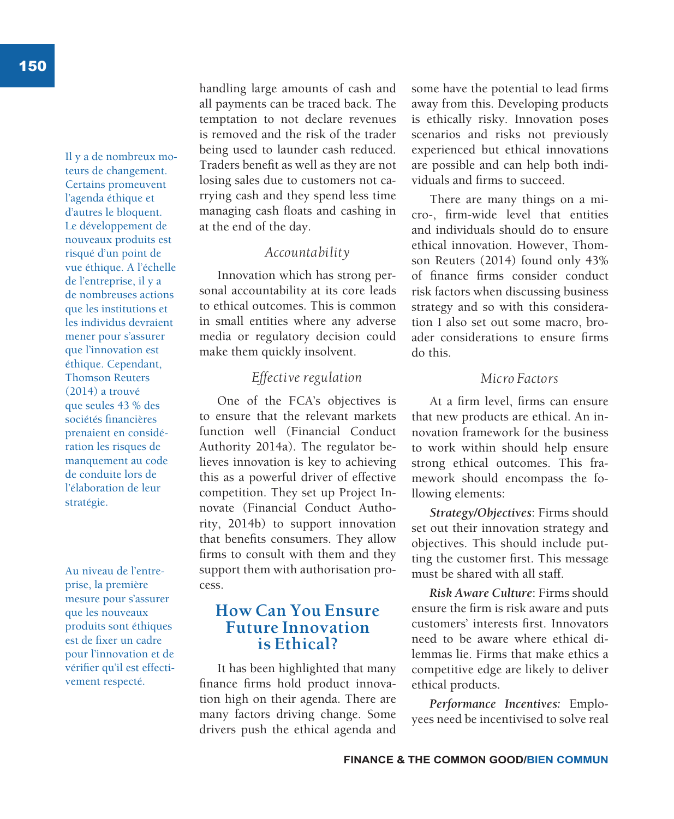Il y a de nombreux moteurs de changement. Certains promeuvent l'agenda éthique et d'autres le bloquent. Le développement de nouveaux produits est risqué d'un point de vue éthique. A l'échelle de l'entreprise, il y a de nombreuses actions que les institutions et les individus devraient mener pour s'assurer que l'innovation est éthique. Cependant, Thomson Reuters (2014) a trouvé que seules 43 % des sociétés financières prenaient en considération les risques de manquement au code de conduite lors de l'élaboration de leur stratégie.

Au niveau de l'entreprise, la première mesure pour s'assurer que les nouveaux produits sont éthiques est de fixer un cadre pour l'innovation et de vérifier qu'il est effectivement respecté.

handling large amounts of cash and all payments can be traced back. The temptation to not declare revenues is removed and the risk of the trader being used to launder cash reduced. Traders benefit as well as they are not losing sales due to customers not carrying cash and they spend less time managing cash floats and cashing in at the end of the day.

### *Accountability*

Innovation which has strong personal accountability at its core leads to ethical outcomes. This is common in small entities where any adverse media or regulatory decision could make them quickly insolvent.

### *Effective regulation*

One of the FCA's objectives is to ensure that the relevant markets function well (Financial Conduct Authority 2014a). The regulator believes innovation is key to achieving this as a powerful driver of effective competition. They set up Project Innovate (Financial Conduct Authority, 2014b) to support innovation that benefits consumers. They allow firms to consult with them and they support them with authorisation process.

### **How Can You Ensure Future Innovation is Ethical?**

It has been highlighted that many finance firms hold product innovation high on their agenda. There are many factors driving change. Some drivers push the ethical agenda and

some have the potential to lead firms away from this. Developing products is ethically risky. Innovation poses scenarios and risks not previously experienced but ethical innovations are possible and can help both individuals and firms to succeed.

There are many things on a micro-, firm-wide level that entities and individuals should do to ensure ethical innovation. However, Thomson Reuters (2014) found only 43% of finance firms consider conduct risk factors when discussing business strategy and so with this consideration I also set out some macro, broader considerations to ensure firms do this.

#### *Micro Factors*

At a firm level, firms can ensure that new products are ethical. An innovation framework for the business to work within should help ensure strong ethical outcomes. This framework should encompass the following elements:

*Strategy/Objectives*: Firms should set out their innovation strategy and objectives. This should include putting the customer first. This message must be shared with all staff.

*Risk Aware Culture*: Firms should ensure the firm is risk aware and puts customers' interests first. Innovators need to be aware where ethical dilemmas lie. Firms that make ethics a competitive edge are likely to deliver ethical products.

*Performance Incentives:* Employees need be incentivised to solve real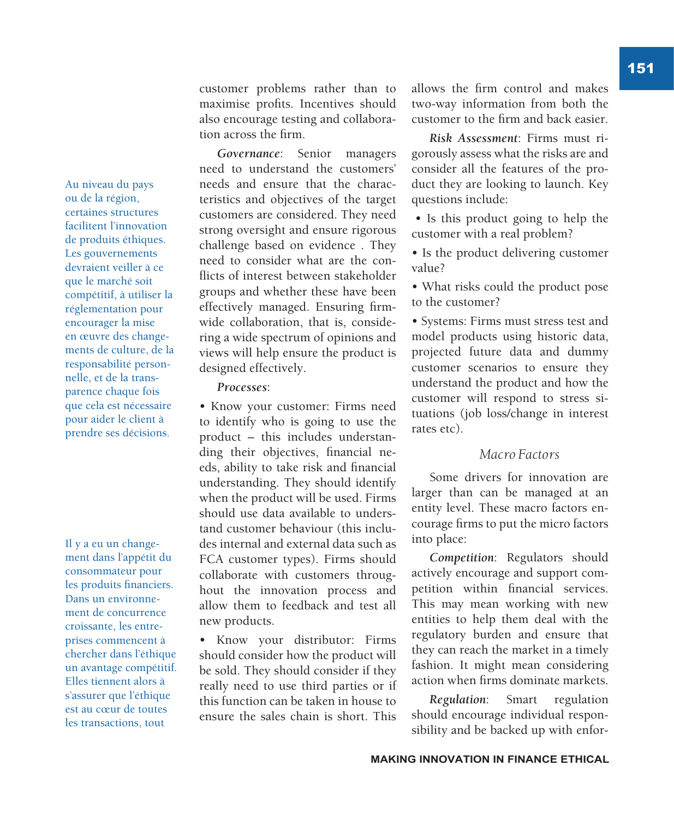Au niveau du pays ou de la région, certaines structures facilitent l'innovation de produits éthiques. Les gouvernements devraient veiller à ce que le marché soit compétitif, à utiliser la réglementation pour encourager la mise en œuvre des changements de culture, de la responsabilité personnelle, et de la transparence chaque fois que cela est nécessaire pour aider le client à prendre ses décisions.

Il y a eu un changement dans l'appétit du consommateur pour les produits financiers. Dans un environnement de concurrence croissante, les entreprises commencent à chercher dans l'éthique un avantage compétitif. Elles tiennent alors à s'assurer que l'éthique est au cœur de toutes les transactions, tout

customer problems rather than to maximise profits. Incentives should also encourage testing and collaboration across the firm.

*Governance*: Senior managers need to understand the customers' needs and ensure that the characteristics and objectives of the target customers are considered. They need strong oversight and ensure rigorous challenge based on evidence . They need to consider what are the conflicts of interest between stakeholder groups and whether these have been effectively managed. Ensuring firmwide collaboration, that is, considering a wide spectrum of opinions and views will help ensure the product is designed effectively.

#### *Processes*:

• Know your customer: Firms need to identify who is going to use the product – this includes understanding their objectives, financial needs, ability to take risk and financial understanding. They should identify when the product will be used. Firms should use data available to understand customer behaviour (this includes internal and external data such as FCA customer types). Firms should collaborate with customers throughout the innovation process and allow them to feedback and test all new products.

• Know your distributor: Firms should consider how the product will be sold. They should consider if they really need to use third parties or if this function can be taken in house to ensure the sales chain is short. This allows the firm control and makes two-way information from both the customer to the firm and back easier.

*Risk Assessment*: Firms must rigorously assess what the risks are and consider all the features of the product they are looking to launch. Key questions include:

• Is this product going to help the customer with a real problem?

- Is the product delivering customer value?
- What risks could the product pose to the customer?

• Systems: Firms must stress test and model products using historic data, projected future data and dummy customer scenarios to ensure they understand the product and how the customer will respond to stress situations (job loss/change in interest rates etc).

#### *Macro Factors*

Some drivers for innovation are larger than can be managed at an entity level. These macro factors encourage firms to put the micro factors into place:

*Competition*: Regulators should actively encourage and support competition within financial services. This may mean working with new entities to help them deal with the regulatory burden and ensure that they can reach the market in a timely fashion. It might mean considering action when firms dominate markets.

*Regulation*: Smart regulation should encourage individual responsibility and be backed up with enfor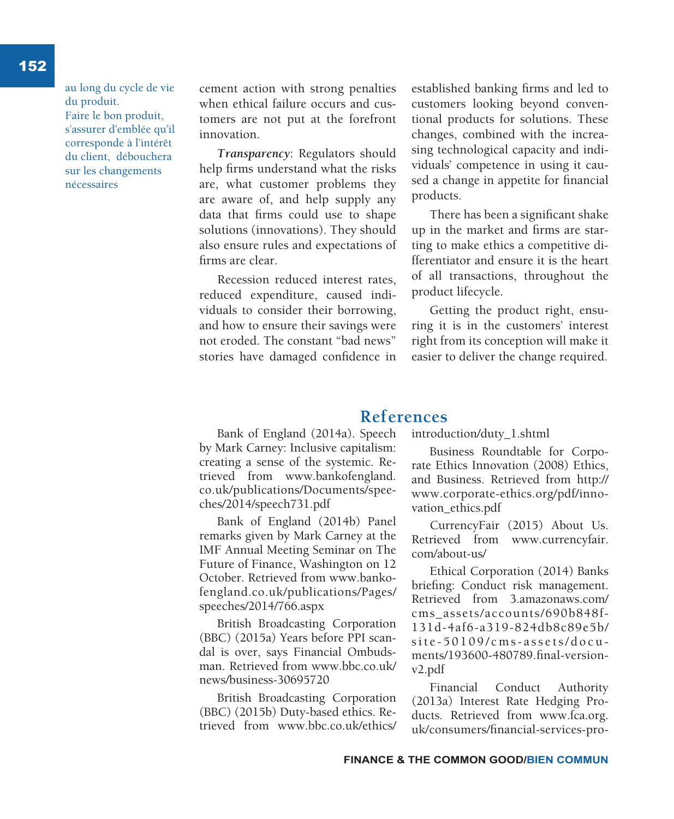au long du cycle de vie du produit. Faire le bon produit, s'assurer d'emblée qu'il corresponde à l'intérêt du client, débouchera sur les changements nécessaires

cement action with strong penalties when ethical failure occurs and customers are not put at the forefront innovation.

*Transparency*: Regulators should help firms understand what the risks are, what customer problems they are aware of, and help supply any data that firms could use to shape solutions (innovations). They should also ensure rules and expectations of firms are clear.

Recession reduced interest rates, reduced expenditure, caused individuals to consider their borrowing, and how to ensure their savings were not eroded. The constant "bad news" stories have damaged confidence in established banking firms and led to customers looking beyond conventional products for solutions. These changes, combined with the increasing technological capacity and individuals' competence in using it caused a change in appetite for financial products.

There has been a significant shake up in the market and firms are starting to make ethics a competitive differentiator and ensure it is the heart of all transactions, throughout the product lifecycle.

Getting the product right, ensuring it is in the customers' interest right from its conception will make it easier to deliver the change required.

### **References**

Bank of England (2014a). Speech by Mark Carney: Inclusive capitalism: creating a sense of the systemic. Retrieved from www.bankofengland. co.uk/publications/Documents/speeches/2014/speech731.pdf

Bank of England (2014b) Panel remarks given by Mark Carney at the IMF Annual Meeting Seminar on The Future of Finance, Washington on 12 October. Retrieved from www.bankofengland.co.uk/publications/Pages/ speeches/2014/766.aspx

British Broadcasting Corporation (BBC) (2015a) Years before PPI scandal is over, says Financial Ombudsman. Retrieved from www.bbc.co.uk/ news/business-30695720

British Broadcasting Corporation (BBC) (2015b) Duty-based ethics. Retrieved from www.bbc.co.uk/ethics/

introduction/duty\_1.shtml

Business Roundtable for Corporate Ethics Innovation (2008) Ethics, and Business. Retrieved from http:// www.corporate-ethics.org/pdf/innovation\_ethics.pdf

CurrencyFair (2015) About Us. Retrieved from www.currencyfair. com/about-us/

Ethical Corporation (2014) Banks briefing: Conduct risk management. Retrieved from 3.amazonaws.com/ cms\_assets/accounts/690b848f-131d-4af6-a319-824db8c89e5b/ site-50109/cms-assets/docu ments/193600-480789.final-versionv2.pdf

Financial Conduct Authority (2013a) Interest Rate Hedging Products. Retrieved from www.fca.org. uk/consumers/financial-services-pro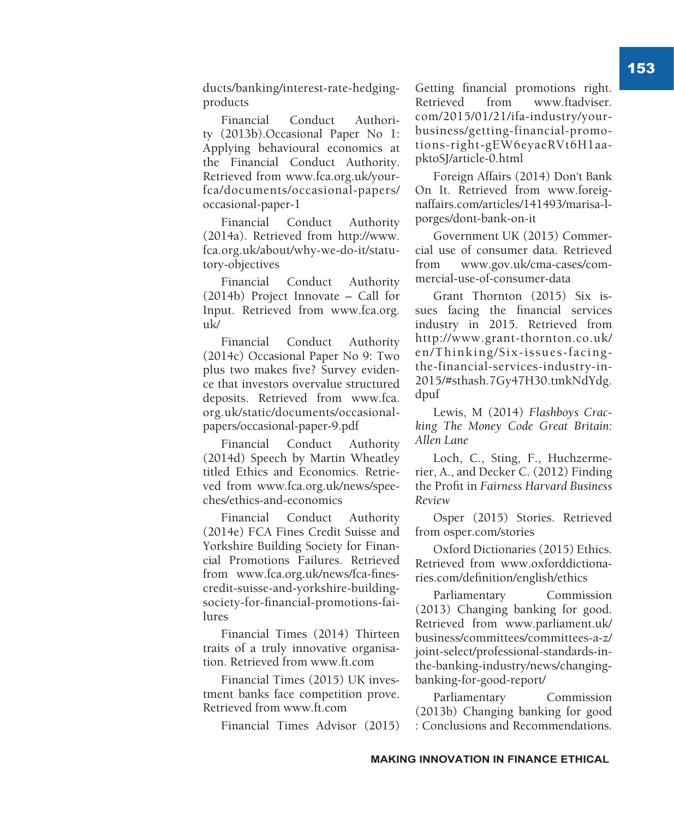ducts/banking/interest-rate-hedgingproducts

Financial Conduct Authority (2013b).Occasional Paper No 1: Applying behavioural economics at the Financial Conduct Authority. Retrieved from www.fca.org.uk/yourfca/documents/occasional-papers/ occasional-paper-1

Financial Conduct Authority (2014a). Retrieved from http://www. fca.org.uk/about/why-we-do-it/statutory-objectives

Financial Conduct Authority (2014b) Project Innovate – Call for Input. Retrieved from www.fca.org.  $_{\rm 11k/}$ 

Financial Conduct Authority (2014c) Occasional Paper No 9: Two plus two makes five? Survey evidence that investors overvalue structured deposits. Retrieved from www.fca. org.uk/static/documents/occasionalpapers/occasional-paper-9.pdf

Financial Conduct Authority (2014d) Speech by Martin Wheatley titled Ethics and Economics. Retrieved from www.fca.org.uk/news/speeches/ethics-and-economics

Financial Conduct Authority (2014e) FCA Fines Credit Suisse and Yorkshire Building Society for Financial Promotions Failures. Retrieved from www.fca.org.uk/news/fca-finescredit-suisse-and-yorkshire-buildingsociety-for-financial-promotions-failures

Financial Times (2014) Thirteen traits of a truly innovative organisation. Retrieved from www.ft.com

Financial Times (2015) UK investment banks face competition prove. Retrieved from www.ft.com

Financial Times Advisor (2015)

Getting financial promotions right. Retrieved from www.ftadviser. com/2015/01/21/ifa-industry/yourbusiness/getting-financial-promotions-right-gEW6eyaeRVt6H1aapktoSJ/article-0.html

Foreign Affairs (2014) Don't Bank On It. Retrieved from www.foreignaffairs.com/articles/141493/marisa-lporges/dont-bank-on-it

Government UK (2015) Commercial use of consumer data. Retrieved from www.gov.uk/cma-cases/commercial-use-of-consumer-data

Grant Thornton (2015) Six issues facing the financial services industry in 2015. Retrieved from http://www.grant-thornton.co.uk/ en/Thinking/Six-issues-facingthe-financial-services-industry-in-2015/#sthash.7Gy47H30.tmkNdYdg. dpuf

Lewis, M (2014) *Flashboys Cracking The Money Code Great Britain: Allen Lane*

Loch, C., Sting, F., Huchzermerier, A., and Decker C. (2012) Finding the Profit in *Fairness Harvard Business Review*

Osper (2015) Stories. Retrieved from osper.com/stories

Oxford Dictionaries (2015) Ethics. Retrieved from www.oxforddictionaries.com/definition/english/ethics

Parliamentary Commission (2013) Changing banking for good. Retrieved from www.parliament.uk/ business/committees/committees-a-z/ joint-select/professional-standards-inthe-banking-industry/news/changingbanking-for-good-report/

Parliamentary Commission (2013b) Changing banking for good : Conclusions and Recommendations.